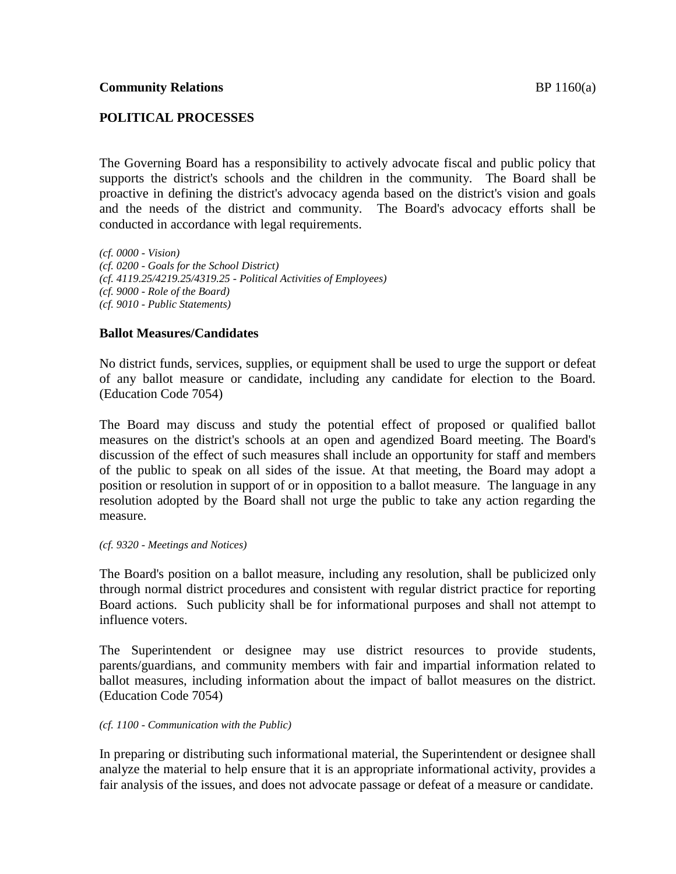# **POLITICAL PROCESSES**

The Governing Board has a responsibility to actively advocate fiscal and public policy that supports the district's schools and the children in the community. The Board shall be proactive in defining the district's advocacy agenda based on the district's vision and goals and the needs of the district and community. The Board's advocacy efforts shall be conducted in accordance with legal requirements.

*(cf. 0000 - Vision) (cf. 0200 - Goals for the School District) (cf. 4119.25/4219.25/4319.25 - Political Activities of Employees) (cf. 9000 - Role of the Board) (cf. 9010 - Public Statements)*

## **Ballot Measures/Candidates**

No district funds, services, supplies, or equipment shall be used to urge the support or defeat of any ballot measure or candidate, including any candidate for election to the Board. (Education Code 7054)

The Board may discuss and study the potential effect of proposed or qualified ballot measures on the district's schools at an open and agendized Board meeting. The Board's discussion of the effect of such measures shall include an opportunity for staff and members of the public to speak on all sides of the issue. At that meeting, the Board may adopt a position or resolution in support of or in opposition to a ballot measure. The language in any resolution adopted by the Board shall not urge the public to take any action regarding the measure.

#### *(cf. 9320 - Meetings and Notices)*

The Board's position on a ballot measure, including any resolution, shall be publicized only through normal district procedures and consistent with regular district practice for reporting Board actions. Such publicity shall be for informational purposes and shall not attempt to influence voters.

The Superintendent or designee may use district resources to provide students, parents/guardians, and community members with fair and impartial information related to ballot measures, including information about the impact of ballot measures on the district. (Education Code 7054)

## *(cf. 1100 - Communication with the Public)*

In preparing or distributing such informational material, the Superintendent or designee shall analyze the material to help ensure that it is an appropriate informational activity, provides a fair analysis of the issues, and does not advocate passage or defeat of a measure or candidate.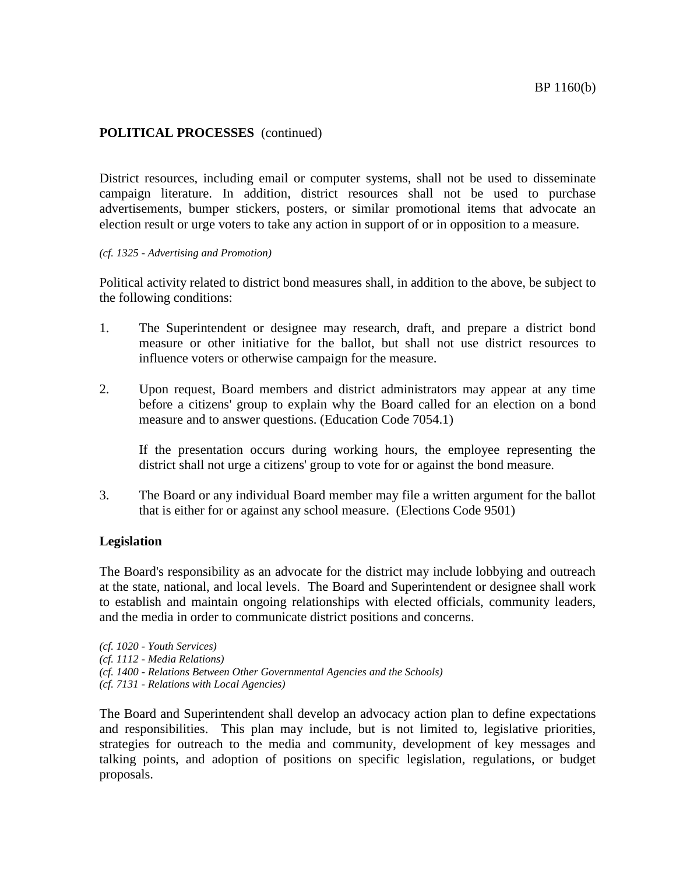## **POLITICAL PROCESSES** (continued)

District resources, including email or computer systems, shall not be used to disseminate campaign literature. In addition, district resources shall not be used to purchase advertisements, bumper stickers, posters, or similar promotional items that advocate an election result or urge voters to take any action in support of or in opposition to a measure.

#### *(cf. 1325 - Advertising and Promotion)*

Political activity related to district bond measures shall, in addition to the above, be subject to the following conditions:

- 1. The Superintendent or designee may research, draft, and prepare a district bond measure or other initiative for the ballot, but shall not use district resources to influence voters or otherwise campaign for the measure.
- 2. Upon request, Board members and district administrators may appear at any time before a citizens' group to explain why the Board called for an election on a bond measure and to answer questions. (Education Code 7054.1)

If the presentation occurs during working hours, the employee representing the district shall not urge a citizens' group to vote for or against the bond measure.

3. The Board or any individual Board member may file a written argument for the ballot that is either for or against any school measure. (Elections Code 9501)

## **Legislation**

The Board's responsibility as an advocate for the district may include lobbying and outreach at the state, national, and local levels. The Board and Superintendent or designee shall work to establish and maintain ongoing relationships with elected officials, community leaders, and the media in order to communicate district positions and concerns.

*(cf. 7131 - Relations with Local Agencies)*

The Board and Superintendent shall develop an advocacy action plan to define expectations and responsibilities. This plan may include, but is not limited to, legislative priorities, strategies for outreach to the media and community, development of key messages and talking points, and adoption of positions on specific legislation, regulations, or budget proposals.

*<sup>(</sup>cf. 1020 - Youth Services)*

*<sup>(</sup>cf. 1112 - Media Relations)*

*<sup>(</sup>cf. 1400 - Relations Between Other Governmental Agencies and the Schools)*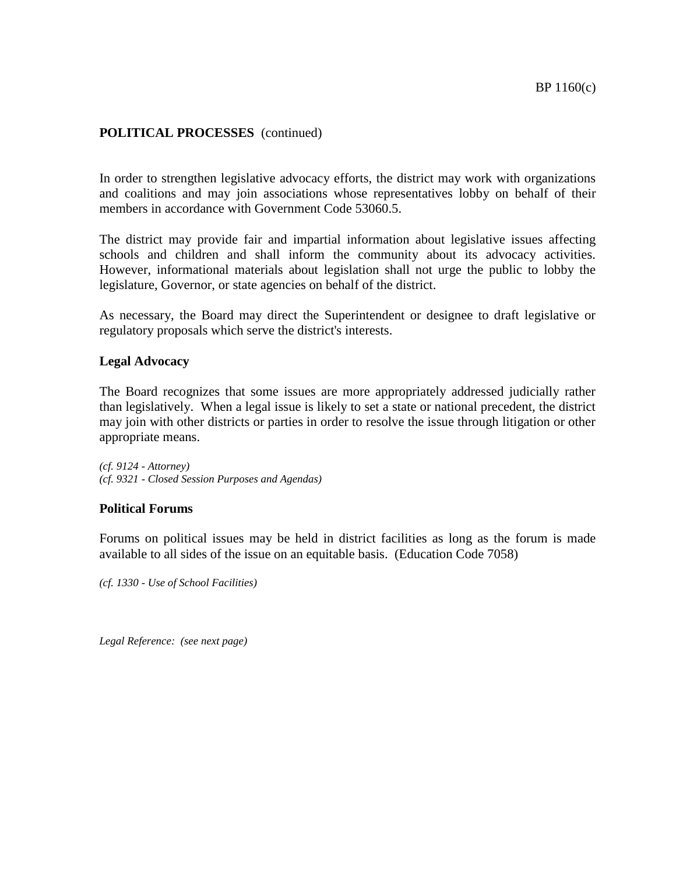## **POLITICAL PROCESSES** (continued)

In order to strengthen legislative advocacy efforts, the district may work with organizations and coalitions and may join associations whose representatives lobby on behalf of their members in accordance with Government Code 53060.5.

The district may provide fair and impartial information about legislative issues affecting schools and children and shall inform the community about its advocacy activities. However, informational materials about legislation shall not urge the public to lobby the legislature, Governor, or state agencies on behalf of the district.

As necessary, the Board may direct the Superintendent or designee to draft legislative or regulatory proposals which serve the district's interests.

### **Legal Advocacy**

The Board recognizes that some issues are more appropriately addressed judicially rather than legislatively. When a legal issue is likely to set a state or national precedent, the district may join with other districts or parties in order to resolve the issue through litigation or other appropriate means.

*(cf. 9124 - Attorney) (cf. 9321 - Closed Session Purposes and Agendas)*

#### **Political Forums**

Forums on political issues may be held in district facilities as long as the forum is made available to all sides of the issue on an equitable basis. (Education Code 7058)

*(cf. 1330 - Use of School Facilities)*

*Legal Reference: (see next page)*